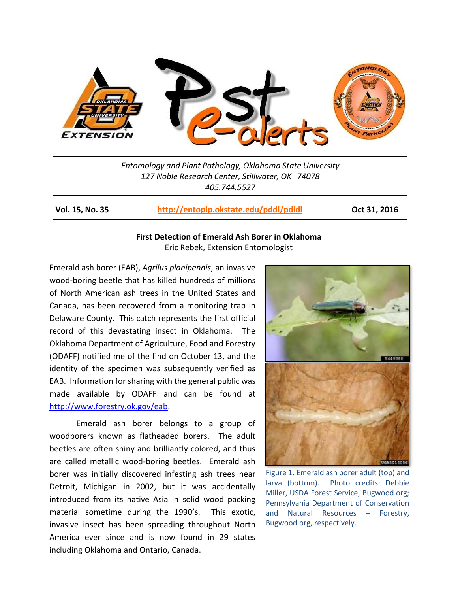

*Entomology and Plant Pathology, Oklahoma State University 127 Noble Research Center, Stillwater, OK 74078 405.744.5527*

**Vol. 15, No. 35 <http://entoplp.okstate.edu/pddl/pdidl> Oct 31, 2016**

## **First Detection of Emerald Ash Borer in Oklahoma** Eric Rebek, Extension Entomologist

Emerald ash borer (EAB), *Agrilus planipennis*, an invasive wood-boring beetle that has killed hundreds of millions of North American ash trees in the United States and Canada, has been recovered from a monitoring trap in Delaware County. This catch represents the first official record of this devastating insect in Oklahoma. The Oklahoma Department of Agriculture, Food and Forestry (ODAFF) notified me of the find on October 13, and the identity of the specimen was subsequently verified as EAB. Information for sharing with the general public was made available by ODAFF and can be found at [http://www.forestry.ok.gov/eab.](http://www.forestry.ok.gov/eab)

Emerald ash borer belongs to a group of woodborers known as flatheaded borers. The adult beetles are often shiny and brilliantly colored, and thus are called metallic wood-boring beetles. Emerald ash borer was initially discovered infesting ash trees near Detroit, Michigan in 2002, but it was accidentally introduced from its native Asia in solid wood packing material sometime during the 1990's. This exotic, invasive insect has been spreading throughout North America ever since and is now found in 29 states including Oklahoma and Ontario, Canada.



Figure 1. Emerald ash borer adult (top) and larva (bottom). Photo credits: Debbie Miller, USDA Forest Service, Bugwood.org; Pennsylvania Department of Conservation and Natural Resources – Forestry, Bugwood.org, respectively.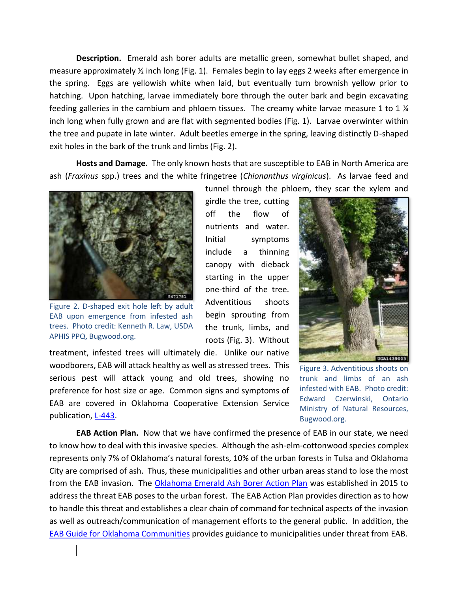**Description.** Emerald ash borer adults are metallic green, somewhat bullet shaped, and measure approximately  $\frac{1}{2}$  inch long (Fig. 1). Females begin to lay eggs 2 weeks after emergence in the spring. Eggs are yellowish white when laid, but eventually turn brownish yellow prior to hatching. Upon hatching, larvae immediately bore through the outer bark and begin excavating feeding galleries in the cambium and phloem tissues. The creamy white larvae measure 1 to 1  $\frac{1}{4}$ inch long when fully grown and are flat with segmented bodies (Fig. 1). Larvae overwinter within the tree and pupate in late winter. Adult beetles emerge in the spring, leaving distinctly D-shaped exit holes in the bark of the trunk and limbs (Fig. 2).

**Hosts and Damage.** The only known hosts that are susceptible to EAB in North America are ash (*Fraxinus* spp.) trees and the white fringetree (*Chionanthus virginicus*). As larvae feed and



Figure 2. D-shaped exit hole left by adult EAB upon emergence from infested ash trees. Photo credit: Kenneth R. Law, USDA APHIS PPQ, Bugwood.org.

 $\overline{\phantom{a}}$ 

tunnel through the phloem, they scar the xylem and girdle the tree, cutting off the flow of nutrients and water. Initial symptoms include a thinning canopy with dieback starting in the upper one-third of the tree. Adventitious shoots begin sprouting from the trunk, limbs, and roots (Fig. 3). Without

treatment, infested trees will ultimately die. Unlike our native woodborers, EAB will attack healthy as well as stressed trees. This serious pest will attack young and old trees, showing no preference for host size or age. Common signs and symptoms of EAB are covered in Oklahoma Cooperative Extension Service publication, [L-443.](http://pods.dasnr.okstate.edu/docushare/dsweb/Get/Document-9236/L-443%20Emerald%20Ash%20Borer.pdf)



Figure 3. Adventitious shoots on trunk and limbs of an ash infested with EAB. Photo credit: Edward Czerwinski, Ontario Ministry of Natural Resources, Bugwood.org.

**EAB Action Plan.** Now that we have confirmed the presence of EAB in our state, we need to know how to deal with this invasive species. Although the ash-elm-cottonwood species complex represents only 7% of Oklahoma's natural forests, 10% of the urban forests in Tulsa and Oklahoma City are comprised of ash. Thus, these municipalities and other urban areas stand to lose the most from the EAB invasion. The [Oklahoma Emerald Ash Borer Action Plan](http://www.forestry.ok.gov/Websites/forestry/images/EAB/EAB%20Action%20Plan,%202015.pdf) was established in 2015 to address the threat EAB poses to the urban forest. The EAB Action Plan provides direction as to how to handle this threat and establishes a clear chain of command for technical aspects of the invasion as well as outreach/communication of management efforts to the general public. In addition, the [EAB Guide for Oklahoma Communities](http://www.forestry.ok.gov/Websites/forestry/images/EAB/Oklahoma%20EAB%20Community%20Guide%20revised.pdf) provides guidance to municipalities under threat from EAB.